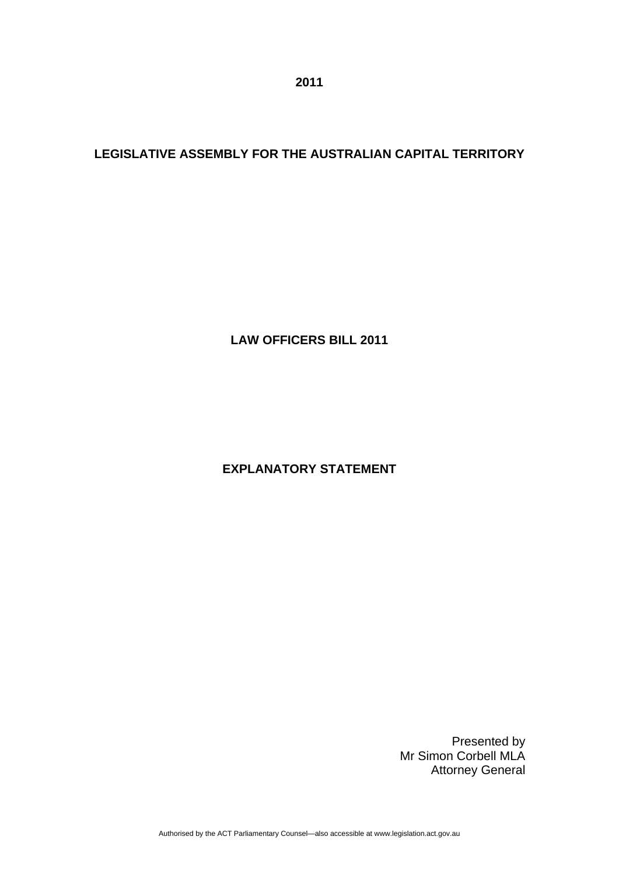**2011** 

# **LEGISLATIVE ASSEMBLY FOR THE AUSTRALIAN CAPITAL TERRITORY**

**LAW OFFICERS BILL 2011** 

# **EXPLANATORY STATEMENT**

Presented by Mr Simon Corbell MLA Attorney General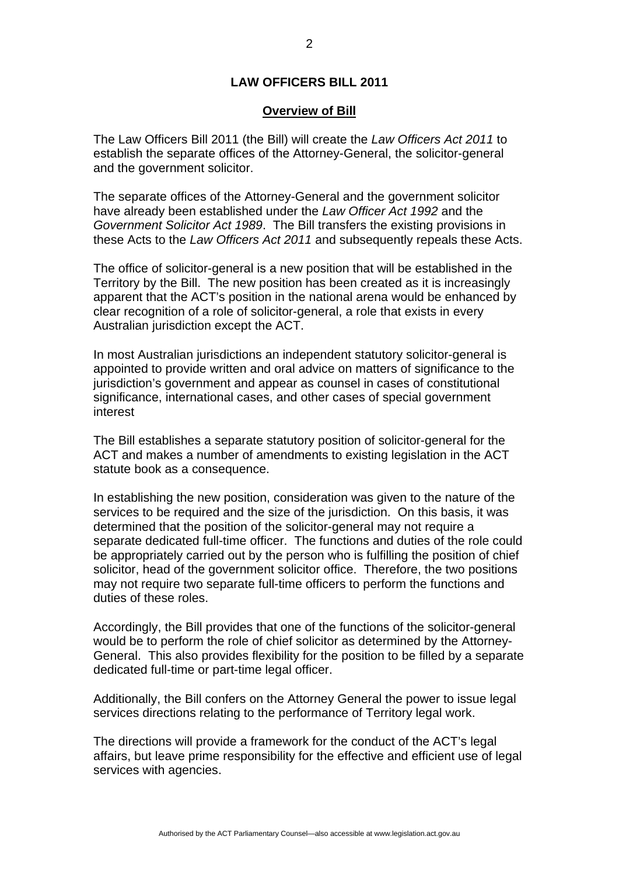# **LAW OFFICERS BILL 2011**

#### **Overview of Bill**

The Law Officers Bill 2011 (the Bill) will create the *Law Officers Act 2011* to establish the separate offices of the Attorney-General, the solicitor-general and the government solicitor.

The separate offices of the Attorney-General and the government solicitor have already been established under the *Law Officer Act 1992* and the *Government Solicitor Act 1989*. The Bill transfers the existing provisions in these Acts to the *Law Officers Act 2011* and subsequently repeals these Acts.

The office of solicitor-general is a new position that will be established in the Territory by the Bill. The new position has been created as it is increasingly apparent that the ACT's position in the national arena would be enhanced by clear recognition of a role of solicitor-general, a role that exists in every Australian jurisdiction except the ACT.

In most Australian jurisdictions an independent statutory solicitor-general is appointed to provide written and oral advice on matters of significance to the jurisdiction's government and appear as counsel in cases of constitutional significance, international cases, and other cases of special government interest

The Bill establishes a separate statutory position of solicitor-general for the ACT and makes a number of amendments to existing legislation in the ACT statute book as a consequence.

In establishing the new position, consideration was given to the nature of the services to be required and the size of the jurisdiction. On this basis, it was determined that the position of the solicitor-general may not require a separate dedicated full-time officer. The functions and duties of the role could be appropriately carried out by the person who is fulfilling the position of chief solicitor, head of the government solicitor office. Therefore, the two positions may not require two separate full-time officers to perform the functions and duties of these roles.

Accordingly, the Bill provides that one of the functions of the solicitor-general would be to perform the role of chief solicitor as determined by the Attorney-General. This also provides flexibility for the position to be filled by a separate dedicated full-time or part-time legal officer.

Additionally, the Bill confers on the Attorney General the power to issue legal services directions relating to the performance of Territory legal work.

The directions will provide a framework for the conduct of the ACT's legal affairs, but leave prime responsibility for the effective and efficient use of legal services with agencies.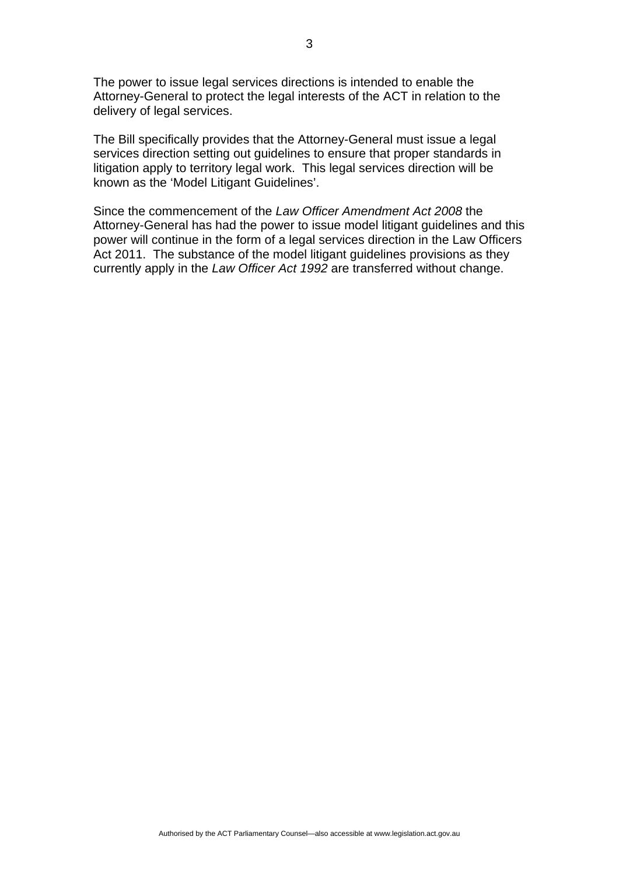The power to issue legal services directions is intended to enable the Attorney-General to protect the legal interests of the ACT in relation to the delivery of legal services.

The Bill specifically provides that the Attorney-General must issue a legal services direction setting out guidelines to ensure that proper standards in litigation apply to territory legal work. This legal services direction will be known as the 'Model Litigant Guidelines'.

Since the commencement of the *Law Officer Amendment Act 2008* the Attorney-General has had the power to issue model litigant guidelines and this power will continue in the form of a legal services direction in the Law Officers Act 2011. The substance of the model litigant guidelines provisions as they currently apply in the *Law Officer Act 1992* are transferred without change.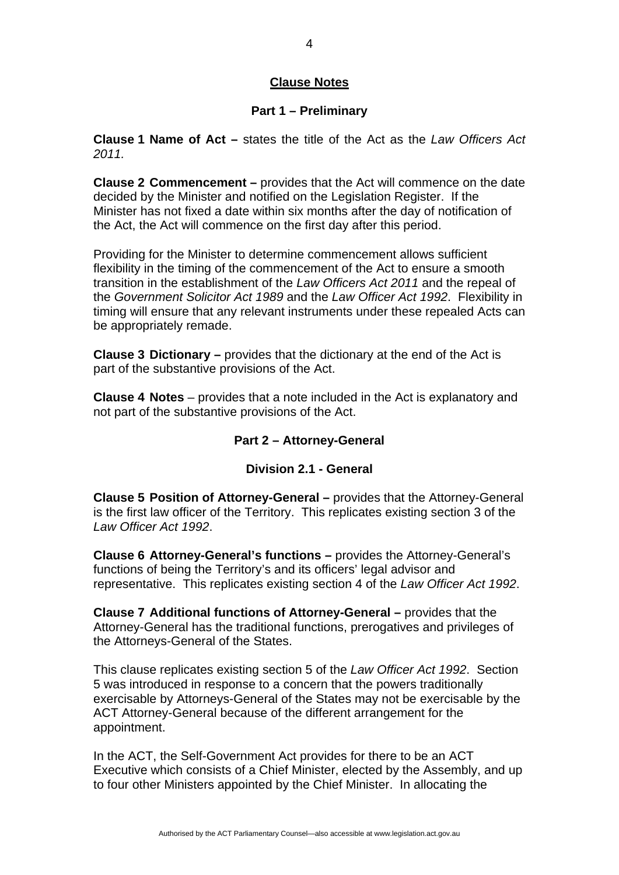# **Clause Notes**

#### **Part 1 – Preliminary**

**Clause 1 Name of Act –** states the title of the Act as the *Law Officers Act 2011.*

**Clause 2 Commencement –** provides that the Act will commence on the date decided by the Minister and notified on the Legislation Register. If the Minister has not fixed a date within six months after the day of notification of the Act, the Act will commence on the first day after this period.

Providing for the Minister to determine commencement allows sufficient flexibility in the timing of the commencement of the Act to ensure a smooth transition in the establishment of the *Law Officers Act 2011* and the repeal of the *Government Solicitor Act 1989* and the *Law Officer Act 1992*. Flexibility in timing will ensure that any relevant instruments under these repealed Acts can be appropriately remade.

**Clause 3 Dictionary –** provides that the dictionary at the end of the Act is part of the substantive provisions of the Act.

**Clause 4 Notes** – provides that a note included in the Act is explanatory and not part of the substantive provisions of the Act.

### **Part 2 – Attorney-General**

### **Division 2.1 - General**

**Clause 5 Position of Attorney-General –** provides that the Attorney-General is the first law officer of the Territory. This replicates existing section 3 of the *Law Officer Act 1992*.

**Clause 6 Attorney-General's functions –** provides the Attorney-General's functions of being the Territory's and its officers' legal advisor and representative. This replicates existing section 4 of the *Law Officer Act 1992*.

**Clause 7 Additional functions of Attorney-General –** provides that the Attorney-General has the traditional functions, prerogatives and privileges of the Attorneys-General of the States.

This clause replicates existing section 5 of the *Law Officer Act 1992*. Section 5 was introduced in response to a concern that the powers traditionally exercisable by Attorneys-General of the States may not be exercisable by the ACT Attorney-General because of the different arrangement for the appointment.

In the ACT, the Self-Government Act provides for there to be an ACT Executive which consists of a Chief Minister, elected by the Assembly, and up to four other Ministers appointed by the Chief Minister. In allocating the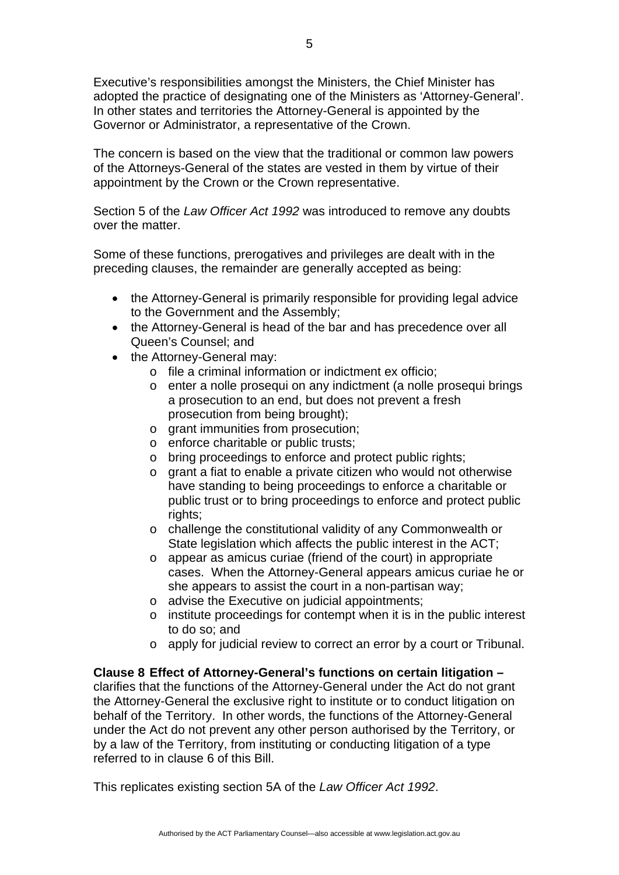Executive's responsibilities amongst the Ministers, the Chief Minister has adopted the practice of designating one of the Ministers as 'Attorney-General'. In other states and territories the Attorney-General is appointed by the Governor or Administrator, a representative of the Crown.

The concern is based on the view that the traditional or common law powers of the Attorneys-General of the states are vested in them by virtue of their appointment by the Crown or the Crown representative.

Section 5 of the *Law Officer Act 1992* was introduced to remove any doubts over the matter.

Some of these functions, prerogatives and privileges are dealt with in the preceding clauses, the remainder are generally accepted as being:

- the Attorney-General is primarily responsible for providing legal advice to the Government and the Assembly;
- the Attorney-General is head of the bar and has precedence over all Queen's Counsel; and
- the Attorney-General may:
	- o file a criminal information or indictment ex officio;
	- o enter a nolle prosequi on any indictment (a nolle prosequi brings a prosecution to an end, but does not prevent a fresh prosecution from being brought);
	- o grant immunities from prosecution;
	- o enforce charitable or public trusts;
	- o bring proceedings to enforce and protect public rights;
	- o grant a fiat to enable a private citizen who would not otherwise have standing to being proceedings to enforce a charitable or public trust or to bring proceedings to enforce and protect public rights;
	- o challenge the constitutional validity of any Commonwealth or State legislation which affects the public interest in the ACT;
	- o appear as amicus curiae (friend of the court) in appropriate cases. When the Attorney-General appears amicus curiae he or she appears to assist the court in a non-partisan way;
	- o advise the Executive on judicial appointments;
	- o institute proceedings for contempt when it is in the public interest to do so; and
	- o apply for judicial review to correct an error by a court or Tribunal.

#### **Clause 8 Effect of Attorney-General's functions on certain litigation –**

clarifies that the functions of the Attorney-General under the Act do not grant the Attorney-General the exclusive right to institute or to conduct litigation on behalf of the Territory. In other words, the functions of the Attorney-General under the Act do not prevent any other person authorised by the Territory, or by a law of the Territory, from instituting or conducting litigation of a type referred to in clause 6 of this Bill.

This replicates existing section 5A of the *Law Officer Act 1992*.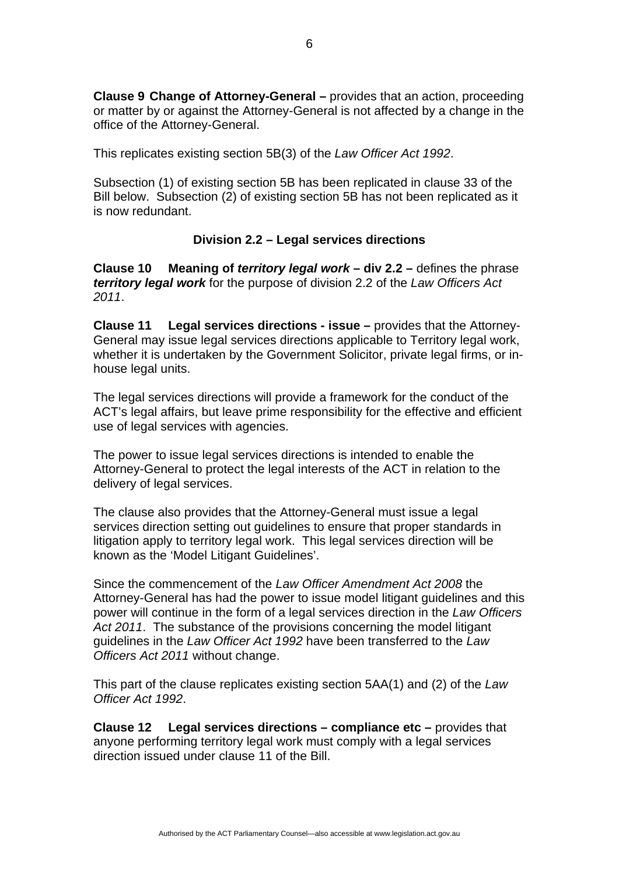**Clause 9 Change of Attorney-General –** provides that an action, proceeding or matter by or against the Attorney-General is not affected by a change in the office of the Attorney-General.

This replicates existing section 5B(3) of the *Law Officer Act 1992*.

Subsection (1) of existing section 5B has been replicated in clause 33 of the Bill below. Subsection (2) of existing section 5B has not been replicated as it is now redundant.

### **Division 2.2 – Legal services directions**

**Clause 10 Meaning of** *territory legal work* **– div 2.2 –** defines the phrase *territory legal work* for the purpose of division 2.2 of the *Law Officers Act 2011*.

**Clause 11 Legal services directions - issue –** provides that the Attorney-General may issue legal services directions applicable to Territory legal work, whether it is undertaken by the Government Solicitor, private legal firms, or inhouse legal units.

The legal services directions will provide a framework for the conduct of the ACT's legal affairs, but leave prime responsibility for the effective and efficient use of legal services with agencies.

The power to issue legal services directions is intended to enable the Attorney-General to protect the legal interests of the ACT in relation to the delivery of legal services.

The clause also provides that the Attorney-General must issue a legal services direction setting out guidelines to ensure that proper standards in litigation apply to territory legal work. This legal services direction will be known as the 'Model Litigant Guidelines'.

Since the commencement of the *Law Officer Amendment Act 2008* the Attorney-General has had the power to issue model litigant guidelines and this power will continue in the form of a legal services direction in the *Law Officers Act 2011*. The substance of the provisions concerning the model litigant guidelines in the *Law Officer Act 1992* have been transferred to the *Law Officers Act 2011* without change.

This part of the clause replicates existing section 5AA(1) and (2) of the *Law Officer Act 1992*.

**Clause 12 Legal services directions – compliance etc –** provides that anyone performing territory legal work must comply with a legal services direction issued under clause 11 of the Bill.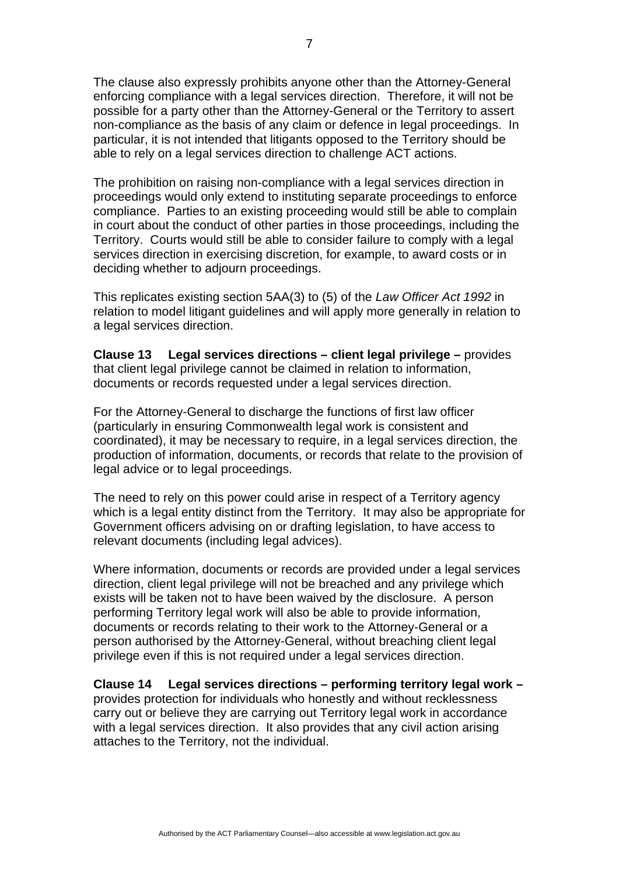The clause also expressly prohibits anyone other than the Attorney-General enforcing compliance with a legal services direction. Therefore, it will not be possible for a party other than the Attorney-General or the Territory to assert non-compliance as the basis of any claim or defence in legal proceedings. In particular, it is not intended that litigants opposed to the Territory should be able to rely on a legal services direction to challenge ACT actions.

The prohibition on raising non-compliance with a legal services direction in proceedings would only extend to instituting separate proceedings to enforce compliance. Parties to an existing proceeding would still be able to complain in court about the conduct of other parties in those proceedings, including the Territory. Courts would still be able to consider failure to comply with a legal services direction in exercising discretion, for example, to award costs or in deciding whether to adjourn proceedings.

This replicates existing section 5AA(3) to (5) of the *Law Officer Act 1992* in relation to model litigant guidelines and will apply more generally in relation to a legal services direction.

**Clause 13 Legal services directions – client legal privilege –** provides that client legal privilege cannot be claimed in relation to information, documents or records requested under a legal services direction.

For the Attorney-General to discharge the functions of first law officer (particularly in ensuring Commonwealth legal work is consistent and coordinated), it may be necessary to require, in a legal services direction, the production of information, documents, or records that relate to the provision of legal advice or to legal proceedings.

The need to rely on this power could arise in respect of a Territory agency which is a legal entity distinct from the Territory. It may also be appropriate for Government officers advising on or drafting legislation, to have access to relevant documents (including legal advices).

Where information, documents or records are provided under a legal services direction, client legal privilege will not be breached and any privilege which exists will be taken not to have been waived by the disclosure. A person performing Territory legal work will also be able to provide information, documents or records relating to their work to the Attorney-General or a person authorised by the Attorney-General, without breaching client legal privilege even if this is not required under a legal services direction.

**Clause 14 Legal services directions – performing territory legal work –** 

provides protection for individuals who honestly and without recklessness carry out or believe they are carrying out Territory legal work in accordance with a legal services direction. It also provides that any civil action arising attaches to the Territory, not the individual.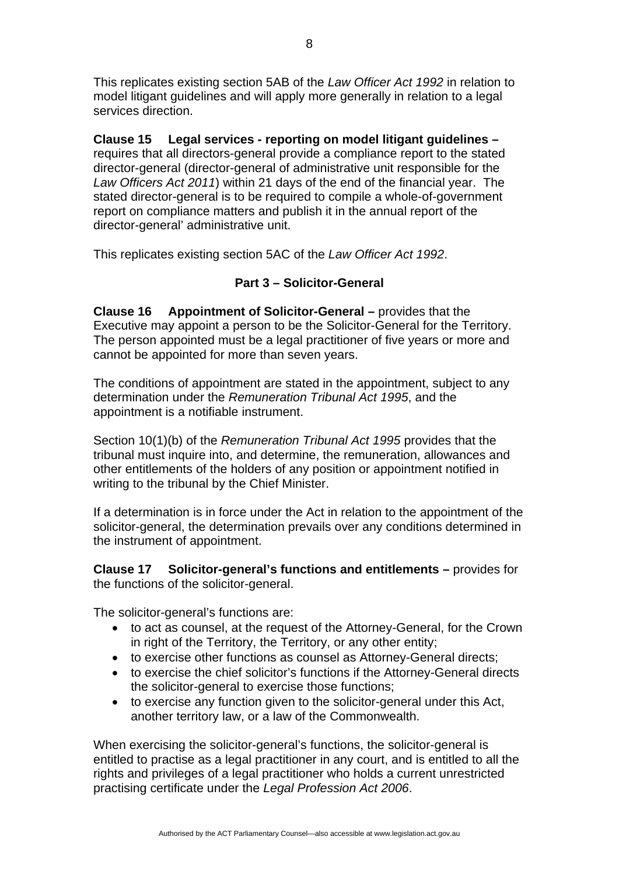This replicates existing section 5AB of the *Law Officer Act 1992* in relation to model litigant guidelines and will apply more generally in relation to a legal services direction.

**Clause 15 Legal services - reporting on model litigant guidelines –**  requires that all directors-general provide a compliance report to the stated director-general (director-general of administrative unit responsible for the *Law Officers Act 2011*) within 21 days of the end of the financial year. The stated director-general is to be required to compile a whole-of-government report on compliance matters and publish it in the annual report of the director-general' administrative unit.

This replicates existing section 5AC of the *Law Officer Act 1992*.

# **Part 3 – Solicitor-General**

**Clause 16 Appointment of Solicitor-General –** provides that the Executive may appoint a person to be the Solicitor-General for the Territory. The person appointed must be a legal practitioner of five years or more and cannot be appointed for more than seven years.

The conditions of appointment are stated in the appointment, subject to any determination under the *Remuneration Tribunal Act 1995*, and the appointment is a notifiable instrument.

Section 10(1)(b) of the *Remuneration Tribunal Act 1995* provides that the tribunal must inquire into, and determine, the remuneration, allowances and other entitlements of the holders of any position or appointment notified in writing to the tribunal by the Chief Minister.

If a determination is in force under the Act in relation to the appointment of the solicitor-general, the determination prevails over any conditions determined in the instrument of appointment.

**Clause 17 Solicitor-general's functions and entitlements –** provides for the functions of the solicitor-general.

The solicitor-general's functions are:

- to act as counsel, at the request of the Attorney-General, for the Crown in right of the Territory, the Territory, or any other entity;
- to exercise other functions as counsel as Attorney-General directs;
- to exercise the chief solicitor's functions if the Attorney-General directs the solicitor-general to exercise those functions;
- to exercise any function given to the solicitor-general under this Act, another territory law, or a law of the Commonwealth.

When exercising the solicitor-general's functions, the solicitor-general is entitled to practise as a legal practitioner in any court, and is entitled to all the rights and privileges of a legal practitioner who holds a current unrestricted practising certificate under the *Legal Profession Act 2006*.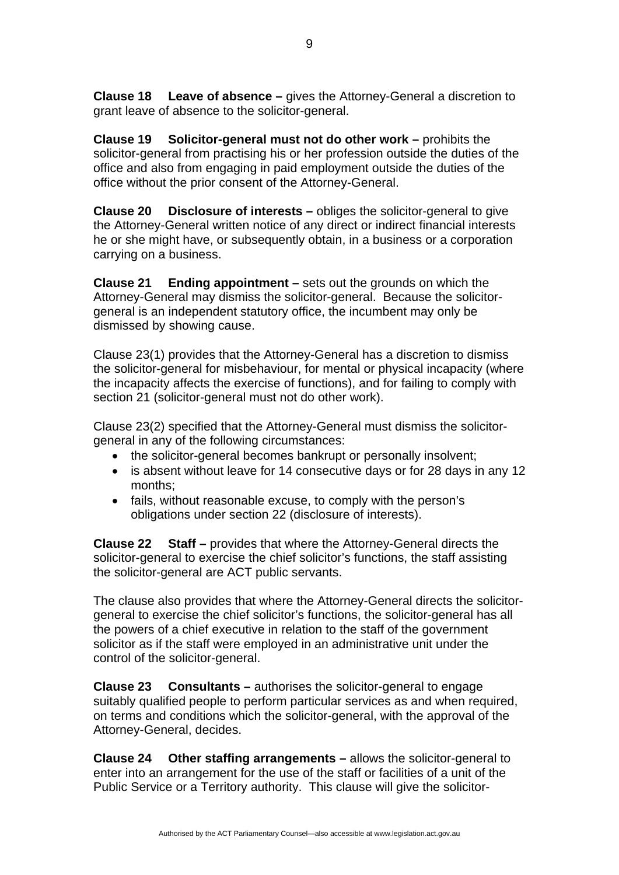**Clause 19 Solicitor-general must not do other work –** prohibits the solicitor-general from practising his or her profession outside the duties of the office and also from engaging in paid employment outside the duties of the office without the prior consent of the Attorney-General.

**Clause 20 Disclosure of interests –** obliges the solicitor-general to give the Attorney-General written notice of any direct or indirect financial interests he or she might have, or subsequently obtain, in a business or a corporation carrying on a business.

**Clause 21 Ending appointment –** sets out the grounds on which the Attorney-General may dismiss the solicitor-general. Because the solicitorgeneral is an independent statutory office, the incumbent may only be dismissed by showing cause.

Clause 23(1) provides that the Attorney-General has a discretion to dismiss the solicitor-general for misbehaviour, for mental or physical incapacity (where the incapacity affects the exercise of functions), and for failing to comply with section 21 (solicitor-general must not do other work).

Clause 23(2) specified that the Attorney-General must dismiss the solicitorgeneral in any of the following circumstances:

- the solicitor-general becomes bankrupt or personally insolvent;
- is absent without leave for 14 consecutive days or for 28 days in any 12 months;
- fails, without reasonable excuse, to comply with the person's obligations under section 22 (disclosure of interests).

**Clause 22 Staff –** provides that where the Attorney-General directs the solicitor-general to exercise the chief solicitor's functions, the staff assisting the solicitor-general are ACT public servants.

The clause also provides that where the Attorney-General directs the solicitorgeneral to exercise the chief solicitor's functions, the solicitor-general has all the powers of a chief executive in relation to the staff of the government solicitor as if the staff were employed in an administrative unit under the control of the solicitor-general.

**Clause 23 Consultants –** authorises the solicitor-general to engage suitably qualified people to perform particular services as and when required, on terms and conditions which the solicitor-general, with the approval of the Attorney-General, decides.

**Clause 24 Other staffing arrangements –** allows the solicitor-general to enter into an arrangement for the use of the staff or facilities of a unit of the Public Service or a Territory authority. This clause will give the solicitor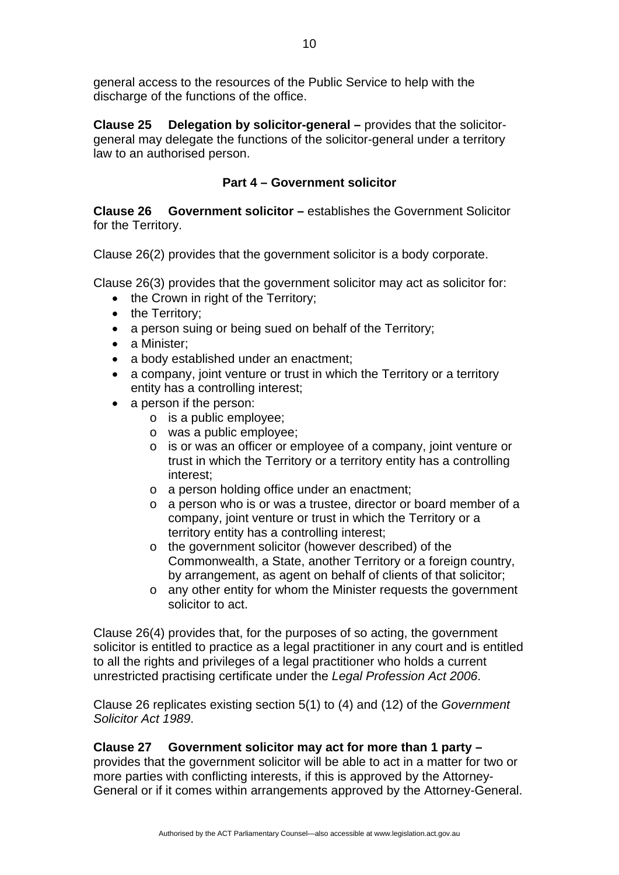general access to the resources of the Public Service to help with the discharge of the functions of the office.

**Clause 25 Delegation by solicitor-general –** provides that the solicitorgeneral may delegate the functions of the solicitor-general under a territory law to an authorised person.

## **Part 4 – Government solicitor**

**Clause 26 Government solicitor –** establishes the Government Solicitor for the Territory.

Clause 26(2) provides that the government solicitor is a body corporate.

Clause 26(3) provides that the government solicitor may act as solicitor for:

- the Crown in right of the Territory;
- the Territory:
- a person suing or being sued on behalf of the Territory;
- a Minister:
- a body established under an enactment:
- a company, joint venture or trust in which the Territory or a territory entity has a controlling interest;
- a person if the person:
	- o is a public employee;
	- o was a public employee;
	- o is or was an officer or employee of a company, joint venture or trust in which the Territory or a territory entity has a controlling interest;
	- o a person holding office under an enactment;
	- o a person who is or was a trustee, director or board member of a company, joint venture or trust in which the Territory or a territory entity has a controlling interest;
	- o the government solicitor (however described) of the Commonwealth, a State, another Territory or a foreign country, by arrangement, as agent on behalf of clients of that solicitor;
	- o any other entity for whom the Minister requests the government solicitor to act.

Clause 26(4) provides that, for the purposes of so acting, the government solicitor is entitled to practice as a legal practitioner in any court and is entitled to all the rights and privileges of a legal practitioner who holds a current unrestricted practising certificate under the *Legal Profession Act 2006*.

Clause 26 replicates existing section 5(1) to (4) and (12) of the *Government Solicitor Act 1989*.

### **Clause 27 Government solicitor may act for more than 1 party –**

provides that the government solicitor will be able to act in a matter for two or more parties with conflicting interests, if this is approved by the Attorney-General or if it comes within arrangements approved by the Attorney-General.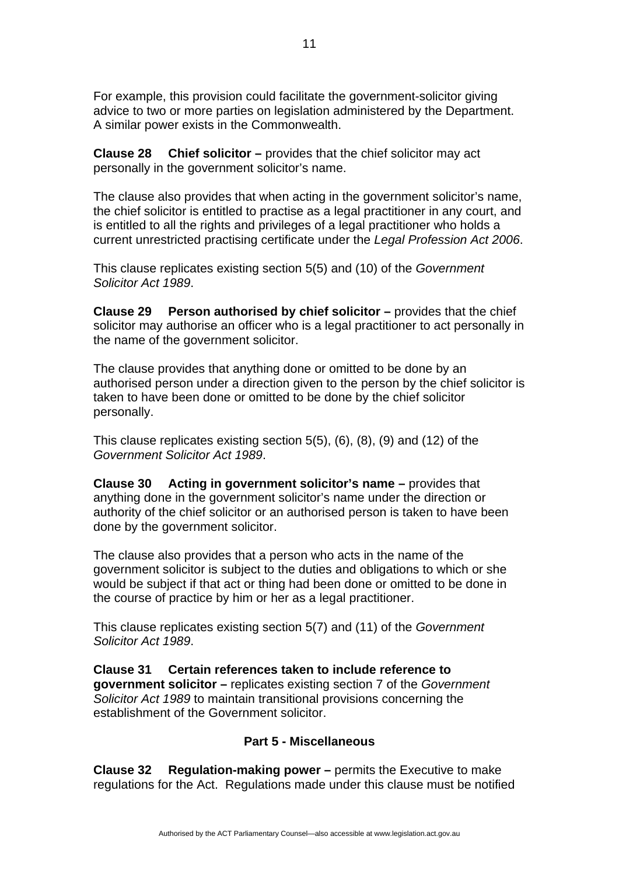For example, this provision could facilitate the government-solicitor giving advice to two or more parties on legislation administered by the Department. A similar power exists in the Commonwealth.

**Clause 28 Chief solicitor –** provides that the chief solicitor may act personally in the government solicitor's name.

The clause also provides that when acting in the government solicitor's name, the chief solicitor is entitled to practise as a legal practitioner in any court, and is entitled to all the rights and privileges of a legal practitioner who holds a current unrestricted practising certificate under the *Legal Profession Act 2006*.

This clause replicates existing section 5(5) and (10) of the *Government Solicitor Act 1989*.

**Clause 29 Person authorised by chief solicitor –** provides that the chief solicitor may authorise an officer who is a legal practitioner to act personally in the name of the government solicitor.

The clause provides that anything done or omitted to be done by an authorised person under a direction given to the person by the chief solicitor is taken to have been done or omitted to be done by the chief solicitor personally.

This clause replicates existing section 5(5), (6), (8), (9) and (12) of the *Government Solicitor Act 1989*.

**Clause 30 Acting in government solicitor's name –** provides that anything done in the government solicitor's name under the direction or authority of the chief solicitor or an authorised person is taken to have been done by the government solicitor.

The clause also provides that a person who acts in the name of the government solicitor is subject to the duties and obligations to which or she would be subject if that act or thing had been done or omitted to be done in the course of practice by him or her as a legal practitioner.

This clause replicates existing section 5(7) and (11) of the *Government Solicitor Act 1989*.

**Clause 31 Certain references taken to include reference to government solicitor –** replicates existing section 7 of the *Government Solicitor Act 1989* to maintain transitional provisions concerning the establishment of the Government solicitor.

### **Part 5 - Miscellaneous**

**Clause 32 Regulation-making power –** permits the Executive to make regulations for the Act. Regulations made under this clause must be notified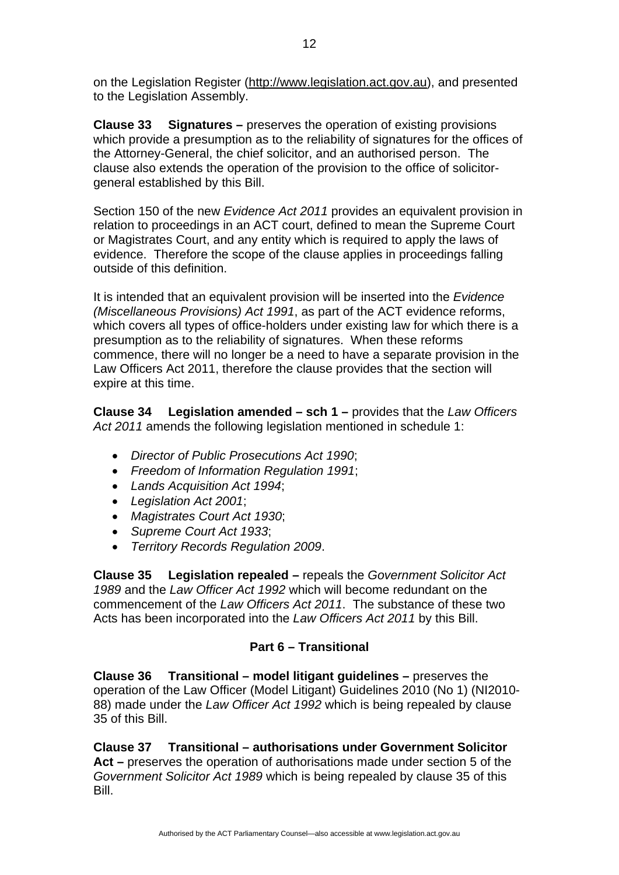on the Legislation Register [\(http://www.legislation.act.gov.au\)](http://www.legislation.act.gov.au/), and presented to the Legislation Assembly.

**Clause 33 Signatures –** preserves the operation of existing provisions which provide a presumption as to the reliability of signatures for the offices of the Attorney-General, the chief solicitor, and an authorised person. The clause also extends the operation of the provision to the office of solicitorgeneral established by this Bill.

Section 150 of the new *Evidence Act 2011* provides an equivalent provision in relation to proceedings in an ACT court, defined to mean the Supreme Court or Magistrates Court, and any entity which is required to apply the laws of evidence. Therefore the scope of the clause applies in proceedings falling outside of this definition.

It is intended that an equivalent provision will be inserted into the *Evidence (Miscellaneous Provisions) Act 1991*, as part of the ACT evidence reforms, which covers all types of office-holders under existing law for which there is a presumption as to the reliability of signatures. When these reforms commence, there will no longer be a need to have a separate provision in the Law Officers Act 2011, therefore the clause provides that the section will expire at this time.

**Clause 34 Legislation amended – sch 1 –** provides that the *Law Officers Act 2011* amends the following legislation mentioned in schedule 1:

- *Director of Public Prosecutions Act 1990*;
- *Freedom of Information Regulation 1991*;
- *Lands Acquisition Act 1994*;
- *Legislation Act 2001*;
- *Magistrates Court Act 1930*;
- *Supreme Court Act 1933*;
- *Territory Records Regulation 2009*.

**Clause 35 Legislation repealed –** repeals the *Government Solicitor Act 1989* and the *Law Officer Act 1992* which will become redundant on the commencement of the *Law Officers Act 2011*. The substance of these two Acts has been incorporated into the *Law Officers Act 2011* by this Bill.

# **Part 6 – Transitional**

**Clause 36 Transitional – model litigant guidelines –** preserves the operation of the Law Officer (Model Litigant) Guidelines 2010 (No 1) (NI2010- 88) made under the *Law Officer Act 1992* which is being repealed by clause 35 of this Bill.

**Clause 37 Transitional – authorisations under Government Solicitor Act –** preserves the operation of authorisations made under section 5 of the *Government Solicitor Act 1989* which is being repealed by clause 35 of this Bill.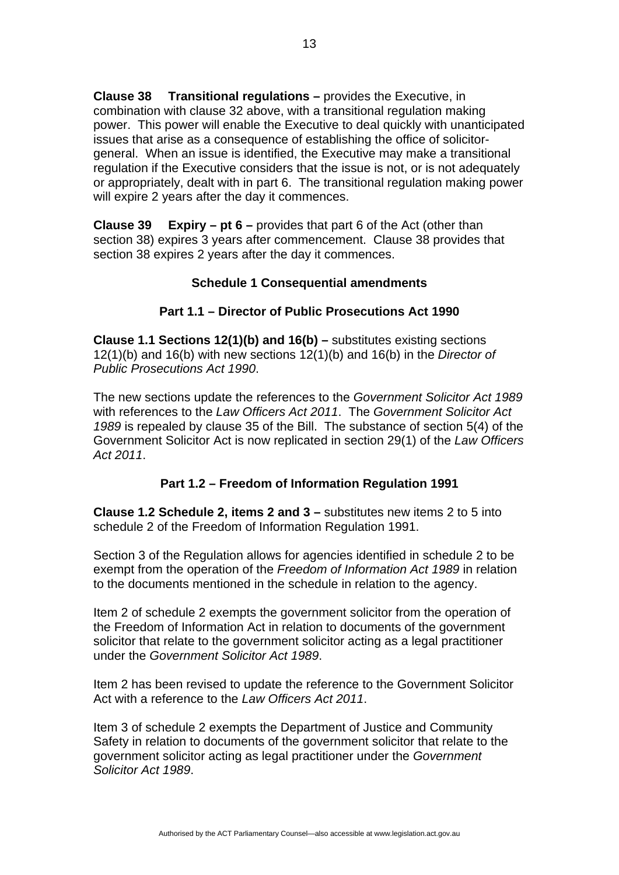**Clause 38 Transitional regulations –** provides the Executive, in combination with clause 32 above, with a transitional regulation making power. This power will enable the Executive to deal quickly with unanticipated issues that arise as a consequence of establishing the office of solicitorgeneral. When an issue is identified, the Executive may make a transitional regulation if the Executive considers that the issue is not, or is not adequately or appropriately, dealt with in part 6. The transitional regulation making power will expire 2 years after the day it commences.

**Clause 39 Expiry – pt 6 –** provides that part 6 of the Act (other than section 38) expires 3 years after commencement. Clause 38 provides that section 38 expires 2 years after the day it commences.

#### **Schedule 1 Consequential amendments**

#### **Part 1.1 – Director of Public Prosecutions Act 1990**

**Clause 1.1 Sections 12(1)(b) and 16(b) –** substitutes existing sections 12(1)(b) and 16(b) with new sections 12(1)(b) and 16(b) in the *Director of Public Prosecutions Act 1990*.

The new sections update the references to the *Government Solicitor Act 1989* with references to the *Law Officers Act 2011*. The *Government Solicitor Act 1989* is repealed by clause 35 of the Bill. The substance of section 5(4) of the Government Solicitor Act is now replicated in section 29(1) of the *Law Officers Act 2011*.

### **Part 1.2 – Freedom of Information Regulation 1991**

**Clause 1.2 Schedule 2, items 2 and 3 –** substitutes new items 2 to 5 into schedule 2 of the Freedom of Information Regulation 1991.

Section 3 of the Regulation allows for agencies identified in schedule 2 to be exempt from the operation of the *Freedom of Information Act 1989* in relation to the documents mentioned in the schedule in relation to the agency.

Item 2 of schedule 2 exempts the government solicitor from the operation of the Freedom of Information Act in relation to documents of the government solicitor that relate to the government solicitor acting as a legal practitioner under the *Government Solicitor Act 1989*.

Item 2 has been revised to update the reference to the Government Solicitor Act with a reference to the *Law Officers Act 2011*.

Item 3 of schedule 2 exempts the Department of Justice and Community Safety in relation to documents of the government solicitor that relate to the government solicitor acting as legal practitioner under the *Government Solicitor Act 1989*.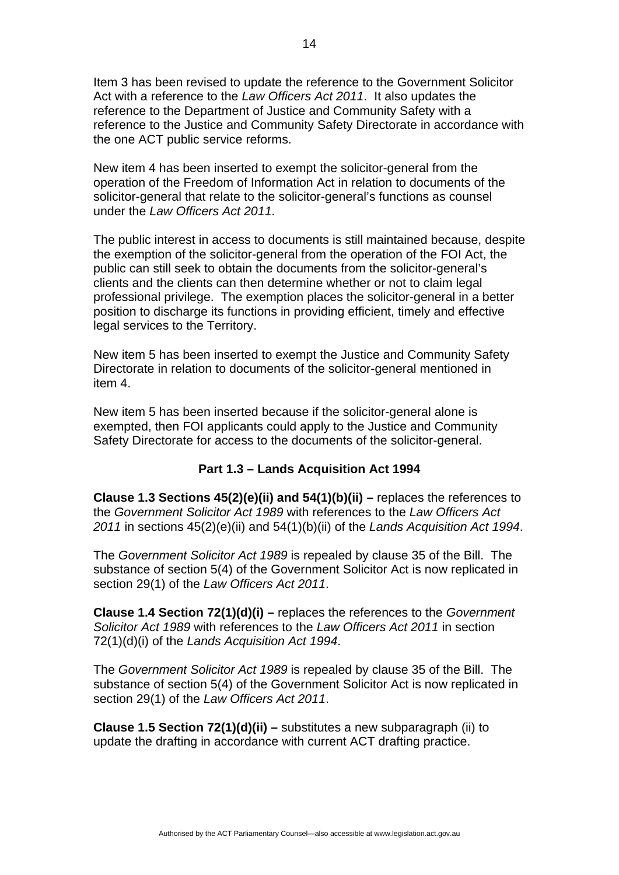Item 3 has been revised to update the reference to the Government Solicitor Act with a reference to the *Law Officers Act 2011*. It also updates the reference to the Department of Justice and Community Safety with a reference to the Justice and Community Safety Directorate in accordance with the one ACT public service reforms.

New item 4 has been inserted to exempt the solicitor-general from the operation of the Freedom of Information Act in relation to documents of the solicitor-general that relate to the solicitor-general's functions as counsel under the *Law Officers Act 2011*.

The public interest in access to documents is still maintained because, despite the exemption of the solicitor-general from the operation of the FOI Act, the public can still seek to obtain the documents from the solicitor-general's clients and the clients can then determine whether or not to claim legal professional privilege. The exemption places the solicitor-general in a better position to discharge its functions in providing efficient, timely and effective legal services to the Territory.

New item 5 has been inserted to exempt the Justice and Community Safety Directorate in relation to documents of the solicitor-general mentioned in item 4.

New item 5 has been inserted because if the solicitor-general alone is exempted, then FOI applicants could apply to the Justice and Community Safety Directorate for access to the documents of the solicitor-general.

### **Part 1.3 – Lands Acquisition Act 1994**

**Clause 1.3 Sections 45(2)(e)(ii) and 54(1)(b)(ii) –** replaces the references to the *Government Solicitor Act 1989* with references to the *Law Officers Act 2011* in sections 45(2)(e)(ii) and 54(1)(b)(ii) of the *Lands Acquisition Act 1994*.

The *Government Solicitor Act 1989* is repealed by clause 35 of the Bill. The substance of section 5(4) of the Government Solicitor Act is now replicated in section 29(1) of the *Law Officers Act 2011*.

**Clause 1.4 Section 72(1)(d)(i) –** replaces the references to the *Government Solicitor Act 1989* with references to the *Law Officers Act 2011* in section 72(1)(d)(i) of the *Lands Acquisition Act 1994*.

The *Government Solicitor Act 1989* is repealed by clause 35 of the Bill. The substance of section 5(4) of the Government Solicitor Act is now replicated in section 29(1) of the *Law Officers Act 2011*.

**Clause 1.5 Section 72(1)(d)(ii) –** substitutes a new subparagraph (ii) to update the drafting in accordance with current ACT drafting practice.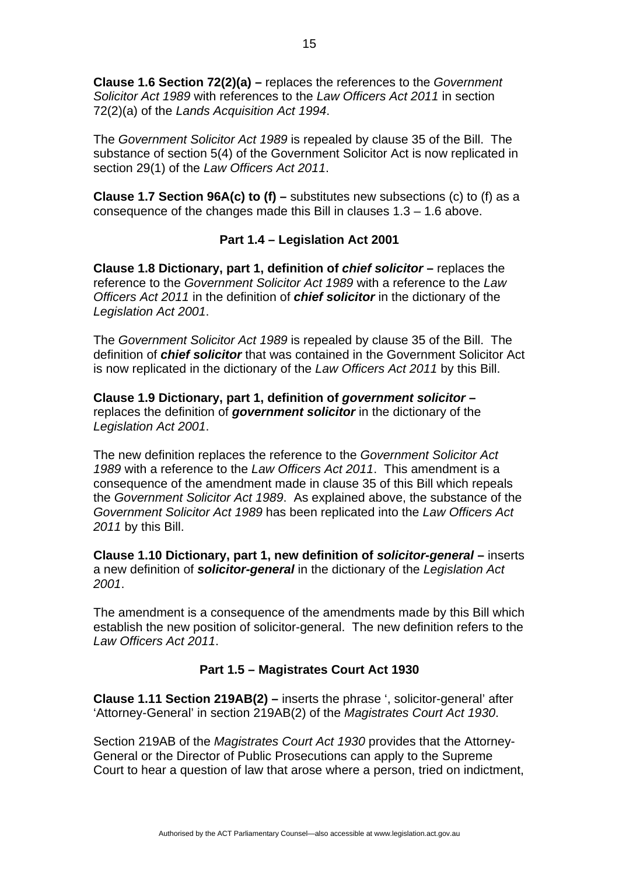**Clause 1.6 Section 72(2)(a) –** replaces the references to the *Government Solicitor Act 1989* with references to the *Law Officers Act 2011* in section 72(2)(a) of the *Lands Acquisition Act 1994*.

The *Government Solicitor Act 1989* is repealed by clause 35 of the Bill. The substance of section 5(4) of the Government Solicitor Act is now replicated in section 29(1) of the *Law Officers Act 2011*.

**Clause 1.7 Section 96A(c) to (f) –** substitutes new subsections (c) to (f) as a consequence of the changes made this Bill in clauses  $1.3 - 1.6$  above.

### **Part 1.4 – Legislation Act 2001**

**Clause 1.8 Dictionary, part 1, definition of** *chief solicitor* **–** replaces the reference to the *Government Solicitor Act 1989* with a reference to the *Law Officers Act 2011* in the definition of *chief solicitor* in the dictionary of the *Legislation Act 2001*.

The *Government Solicitor Act 1989* is repealed by clause 35 of the Bill. The definition of *chief solicitor* that was contained in the Government Solicitor Act is now replicated in the dictionary of the *Law Officers Act 2011* by this Bill.

**Clause 1.9 Dictionary, part 1, definition of** *government solicitor* **–**  replaces the definition of *government solicitor* in the dictionary of the *Legislation Act 2001*.

The new definition replaces the reference to the *Government Solicitor Act 1989* with a reference to the *Law Officers Act 2011*. This amendment is a consequence of the amendment made in clause 35 of this Bill which repeals the *Government Solicitor Act 1989*. As explained above, the substance of the *Government Solicitor Act 1989* has been replicated into the *Law Officers Act 2011* by this Bill.

**Clause 1.10 Dictionary, part 1, new definition of** *solicitor-general* **–** inserts a new definition of *solicitor-general* in the dictionary of the *Legislation Act 2001*.

The amendment is a consequence of the amendments made by this Bill which establish the new position of solicitor-general. The new definition refers to the *Law Officers Act 2011*.

#### **Part 1.5 – Magistrates Court Act 1930**

**Clause 1.11 Section 219AB(2) –** inserts the phrase ', solicitor-general' after 'Attorney-General' in section 219AB(2) of the *Magistrates Court Act 1930*.

Section 219AB of the *Magistrates Court Act 1930* provides that the Attorney-General or the Director of Public Prosecutions can apply to the Supreme Court to hear a question of law that arose where a person, tried on indictment,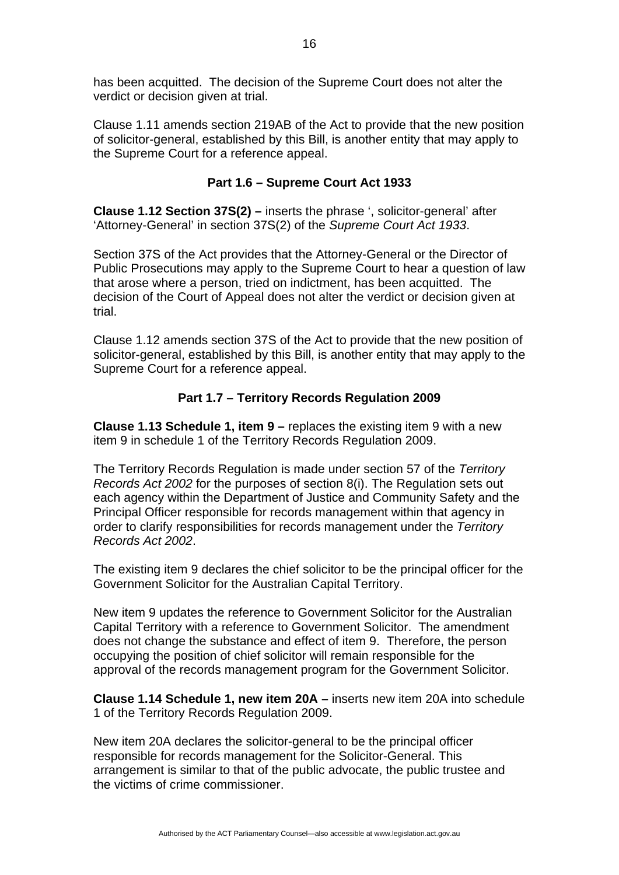has been acquitted. The decision of the Supreme Court does not alter the verdict or decision given at trial.

Clause 1.11 amends section 219AB of the Act to provide that the new position of solicitor-general, established by this Bill, is another entity that may apply to the Supreme Court for a reference appeal.

### **Part 1.6 – Supreme Court Act 1933**

**Clause 1.12 Section 37S(2) –** inserts the phrase ', solicitor-general' after 'Attorney-General' in section 37S(2) of the *Supreme Court Act 1933*.

Section 37S of the Act provides that the Attorney-General or the Director of Public Prosecutions may apply to the Supreme Court to hear a question of law that arose where a person, tried on indictment, has been acquitted. The decision of the Court of Appeal does not alter the verdict or decision given at trial.

Clause 1.12 amends section 37S of the Act to provide that the new position of solicitor-general, established by this Bill, is another entity that may apply to the Supreme Court for a reference appeal.

# **Part 1.7 – Territory Records Regulation 2009**

**Clause 1.13 Schedule 1, item 9 –** replaces the existing item 9 with a new item 9 in schedule 1 of the Territory Records Regulation 2009.

The Territory Records Regulation is made under section 57 of the *Territory Records Act 2002* for the purposes of section 8(i). The Regulation sets out each agency within the Department of Justice and Community Safety and the Principal Officer responsible for records management within that agency in order to clarify responsibilities for records management under the *Territory Records Act 2002*.

The existing item 9 declares the chief solicitor to be the principal officer for the Government Solicitor for the Australian Capital Territory.

New item 9 updates the reference to Government Solicitor for the Australian Capital Territory with a reference to Government Solicitor. The amendment does not change the substance and effect of item 9. Therefore, the person occupying the position of chief solicitor will remain responsible for the approval of the records management program for the Government Solicitor.

**Clause 1.14 Schedule 1, new item 20A –** inserts new item 20A into schedule 1 of the Territory Records Regulation 2009.

New item 20A declares the solicitor-general to be the principal officer responsible for records management for the Solicitor-General. This arrangement is similar to that of the public advocate, the public trustee and the victims of crime commissioner.